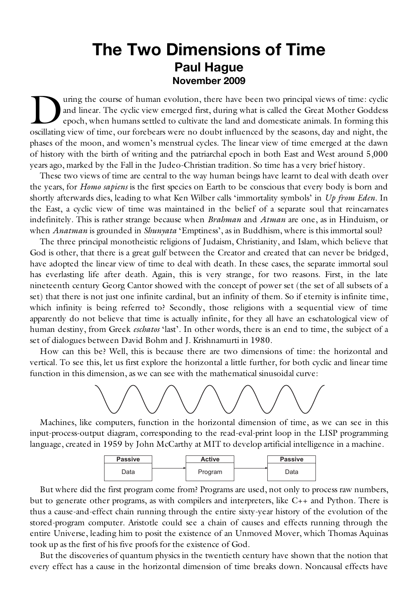## **The Two Dimensions of Time Paul Hague November 2009**

uring the course of human evolution, there have been two principal views of time: cyclic and linear. The cyclic view emerged first, during what is called the Great Mother Goddess epoch, when humans settled to cultivate the land and domesticate animals. In forming this The course of human evolution, there have been two principal views of time: cyclic and linear. The cyclic view emerged first, during what is called the Great Mother Goddess epoch, when humans settled to cultivate the land phases of the moon, and women's menstrual cycles. The linear view of time emerged at the dawn of history with the birth of writing and the patriarchal epoch in both East and West around 5,000 years ago, marked by the Fall in the Judeo-Christian tradition. So time has a very brief history.

These two views of time are central to the way human beings have learnt to deal with death over the years, for *Homo sapiens* is the first species on Earth to be conscious that every body is born and shortly afterwards dies, leading to what Ken Wilber calls 'immortality symbols' in *Up from Eden*. In the East, a cyclic view of time was maintained in the belief of a separate soul that reincarnates indefinitely. This is rather strange because when *Brahman* and *Atman* are one, as in Hinduism, or when *Anatman* is grounded in *Shunyata* 'Emptiness', as in Buddhism, where is this immortal soul?

The three principal monotheistic religions of Judaism, Christianity, and Islam, which believe that God is other, that there is a great gulf between the Creator and created that can never be bridged, have adopted the linear view of time to deal with death. In these cases, the separate immortal soul has everlasting life after death. Again, this is very strange, for two reasons. First, in the late nineteenth century Georg Cantor showed with the concept of power set (the set of all subsets of a set) that there is not just one infinite cardinal, but an infinity of them. So if eternity is infinite time, which infinity is being referred to? Secondly, those religions with a sequential view of time apparently do not believe that time is actually infinite, for they all have an eschatological view of human destiny, from Greek *eschatos* 'last'. In other words, there is an end to time, the subject of a set of dialogues between David Bohm and J. Krishnamurti in 1980.

How can this be? Well, this is because there are two dimensions of time: the horizontal and vertical. To see this, let us first explore the horizontal a little further, for both cyclic and linear time function in this dimension, as we can see with the mathematical sinusoidal curve:



Machines, like computers, function in the horizontal dimension of time, as we can see in this input-process-output diagram, corresponding to the read-eval-print loop in the LISP programming language, created in 1959 by John McCarthy at MIT to develop artificial intelligence in a machine.



But where did the first program come from? Programs are used, not only to process raw numbers, but to generate other programs, as with compilers and interpreters, like C++ and Python. There is thus a cause-and-effect chain running through the entire sixty-year history of the evolution of the stored-program computer. Aristotle could see a chain of causes and effects running through the entire Universe, leading him to posit the existence of an Unmoved Mover, which Thomas Aquinas took up as the first of his five proofs for the existence of God.

But the discoveries of quantum physics in the twentieth century have shown that the notion that every effect has a cause in the horizontal dimension of time breaks down. Noncausal effects have